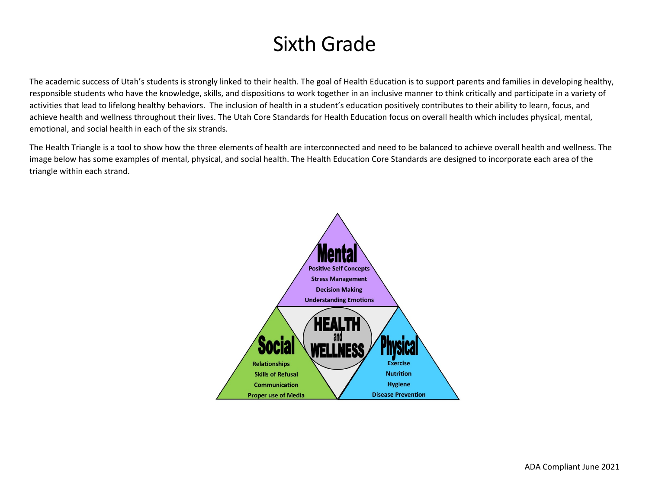# Sixth Grade

The academic success of Utah's students is strongly linked to their health. The goal of Health Education is to support parents and families in developing healthy, responsible students who have the knowledge, skills, and dispositions to work together in an inclusive manner to think critically and participate in a variety of activities that lead to lifelong healthy behaviors. The inclusion of health in a student's education positively contributes to their ability to learn, focus, and achieve health and wellness throughout their lives. The Utah Core Standards for Health Education focus on overall health which includes physical, mental, emotional, and social health in each of the six strands.

The Health Triangle is a tool to show how the three elements of health are interconnected and need to be balanced to achieve overall health and wellness. The image below has some examples of mental, physical, and social health. The Health Education Core Standards are designed to incorporate each area of the triangle within each strand.

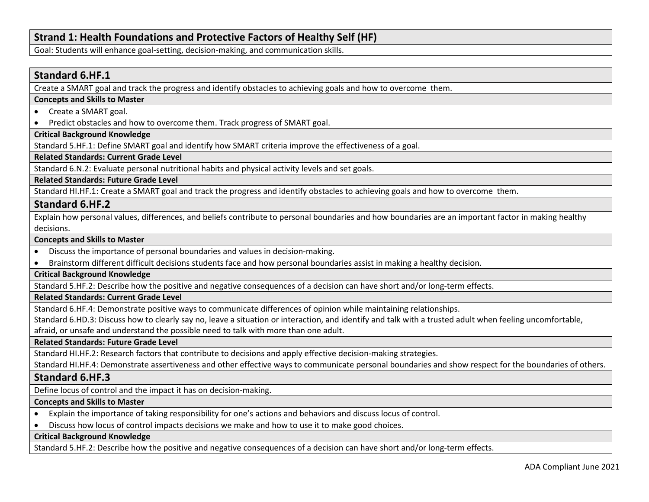# **Strand 1: Health Foundations and Protective Factors of Healthy Self (HF)**

Goal: Students will enhance goal-setting, decision-making, and communication skills.

# **Standard 6.HF.1**

Create a SMART goal and track the progress and identify obstacles to achieving goals and how to overcome them.

### **Concepts and Skills to Master**

- Create a SMART goal.
- Predict obstacles and how to overcome them. Track progress of SMART goal.

#### **Critical Background Knowledge**

Standard 5.HF.1: Define SMART goal and identify how SMART criteria improve the effectiveness of a goal.

# **Related Standards: Current Grade Level**

Standard 6.N.2: Evaluate personal nutritional habits and physical activity levels and set goals.

## **Related Standards: Future Grade Level**

Standard HI.HF.1: Create a SMART goal and track the progress and identify obstacles to achieving goals and how to overcome them.

# **Standard 6.HF.2**

Explain how personal values, differences, and beliefs contribute to personal boundaries and how boundaries are an important factor in making healthy decisions.

#### **Concepts and Skills to Master**

- Discuss the importance of personal boundaries and values in decision-making.
- Brainstorm different difficult decisions students face and how personal boundaries assist in making a healthy decision.

# **Critical Background Knowledge**

Standard 5.HF.2: Describe how the positive and negative consequences of a decision can have short and/or long-term effects.

# **Related Standards: Current Grade Level**

Standard 6.HF.4: Demonstrate positive ways to communicate differences of opinion while maintaining relationships.

Standard 6.HD.3: Discuss how to clearly say no, leave a situation or interaction, and identify and talk with a trusted adult when feeling uncomfortable,

afraid, or unsafe and understand the possible need to talk with more than one adult.

#### **Related Standards: Future Grade Level**

Standard HI.HF.2: Research factors that contribute to decisions and apply effective decision-making strategies.

Standard HI.HF.4: Demonstrate assertiveness and other effective ways to communicate personal boundaries and show respect for the boundaries of others.

# **Standard 6.HF.3**

Define locus of control and the impact it has on decision-making.

#### **Concepts and Skills to Master**

- Explain the importance of taking responsibility for one's actions and behaviors and discuss locus of control.
- Discuss how locus of control impacts decisions we make and how to use it to make good choices.

#### **Critical Background Knowledge**

Standard 5.HF.2: Describe how the positive and negative consequences of a decision can have short and/or long-term effects.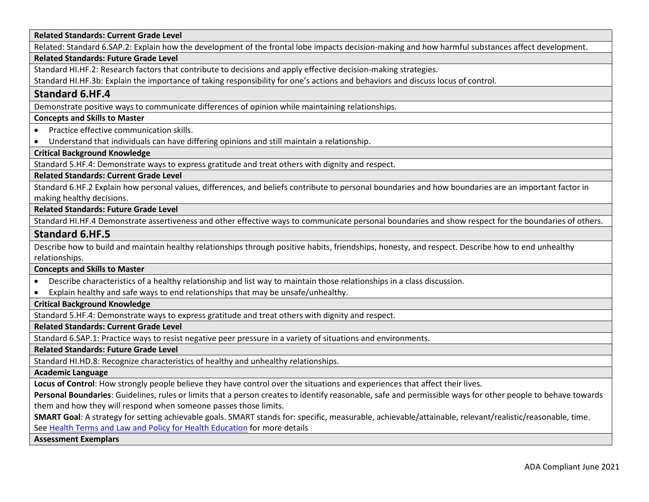**Related Standards: Current Grade Level**

Related: Standard 6.SAP.2: Explain how the development of the frontal lobe impacts decision-making and how harmful substances affect development.

## **Related Standards: Future Grade Level**

Standard HI.HF.2: Research factors that contribute to decisions and apply effective decision-making strategies.

Standard HI.HF.3b: Explain the importance of taking responsibility for one's actions and behaviors and discuss locus of control.

# **Standard 6.HF.4**

Demonstrate positive ways to communicate differences of opinion while maintaining relationships.

# **Concepts and Skills to Master**

- Practice effective communication skills.
- Understand that individuals can have differing opinions and still maintain a relationship.

#### **Critical Background Knowledge**

Standard 5.HF.4: Demonstrate ways to express gratitude and treat others with dignity and respect.

#### **Related Standards: Current Grade Level**

Standard 6.HF.2 Explain how personal values, differences, and beliefs contribute to personal boundaries and how boundaries are an important factor in making healthy decisions.

#### **Related Standards: Future Grade Level**

Standard HI.HF.4 Demonstrate assertiveness and other effective ways to communicate personal boundaries and show respect for the boundaries of others.

# **Standard 6.HF.5**

Describe how to build and maintain healthy relationships through positive habits, friendships, honesty, and respect. Describe how to end unhealthy relationships.

#### **Concepts and Skills to Master**

- Describe characteristics of a healthy relationship and list way to maintain those relationships in a class discussion.
- Explain healthy and safe ways to end relationships that may be unsafe/unhealthy.

# **Critical Background Knowledge**

Standard 5.HF.4: Demonstrate ways to express gratitude and treat others with dignity and respect.

## **Related Standards: Current Grade Level**

Standard 6.SAP.1: Practice ways to resist negative peer pressure in a variety of situations and environments.

**Related Standards: Future Grade Level**

Standard HI.HD.8: Recognize characteristics of healthy and unhealthy relationships.

**Academic Language**

**Locus of Control**: How strongly people believe they have control over the situations and experiences that affect their lives.

**Personal Boundaries**: Guidelines, rules or limits that a person creates to identify reasonable, safe and permissible ways for other people to behave towards them and how they will respond when someone passes those limits.

**SMART Goal**: A strategy for setting achievable goals. SMART stands for: specific, measurable, achievable/attainable, relevant/realistic/reasonable, time.

See [Health Terms and Law and Policy for Health Education](https://schools.utah.gov/file/79acf6fe-5e26-4f46-9374-116b785e9147) for more details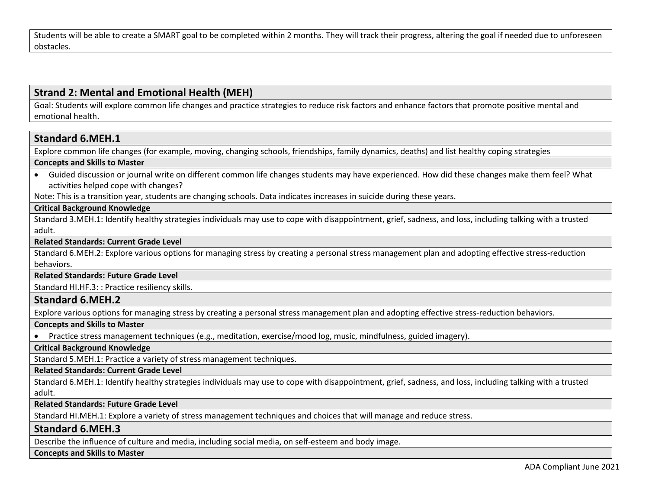Students will be able to create a SMART goal to be completed within 2 months. They will track their progress, altering the goal if needed due to unforeseen obstacles.

# **Strand 2: Mental and Emotional Health (MEH)**

Goal: Students will explore common life changes and practice strategies to reduce risk factors and enhance factors that promote positive mental and emotional health.

# **Standard 6.MEH.1**

Explore common life changes (for example, moving, changing schools, friendships, family dynamics, deaths) and list healthy coping strategies

## **Concepts and Skills to Master**

• Guided discussion or journal write on different common life changes students may have experienced. How did these changes make them feel? What activities helped cope with changes?

Note: This is a transition year, students are changing schools. Data indicates increases in suicide during these years.

# **Critical Background Knowledge**

Standard 3.MEH.1: Identify healthy strategies individuals may use to cope with disappointment, grief, sadness, and loss, including talking with a trusted adult.

#### **Related Standards: Current Grade Level**

Standard 6.MEH.2: Explore various options for managing stress by creating a personal stress management plan and adopting effective stress-reduction behaviors.

## **Related Standards: Future Grade Level**

Standard HI.HF.3: : Practice resiliency skills.

# **Standard 6.MEH.2**

Explore various options for managing stress by creating a personal stress management plan and adopting effective stress-reduction behaviors.

## **Concepts and Skills to Master**

• Practice stress management techniques (e.g., meditation, exercise/mood log, music, mindfulness, guided imagery).

**Critical Background Knowledge**

Standard 5.MEH.1: Practice a variety of stress management techniques.

# **Related Standards: Current Grade Level**

Standard 6.MEH.1: Identify healthy strategies individuals may use to cope with disappointment, grief, sadness, and loss, including talking with a trusted adult.

#### **Related Standards: Future Grade Level**

Standard HI.MEH.1: Explore a variety of stress management techniques and choices that will manage and reduce stress.

# **Standard 6.MEH.3**

Describe the influence of culture and media, including social media, on self-esteem and body image.

#### **Concepts and Skills to Master**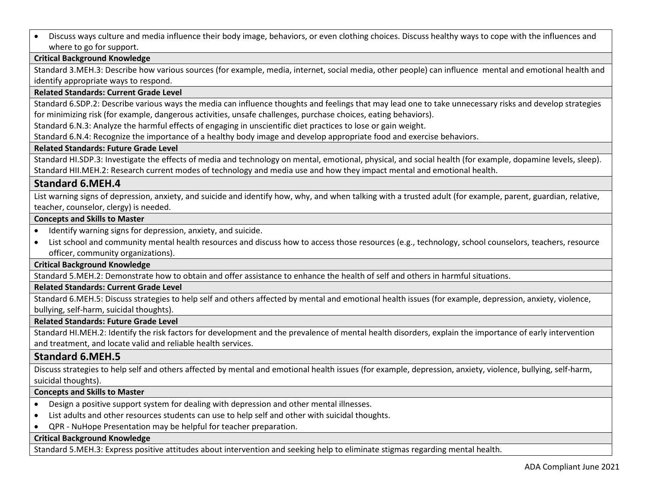• Discuss ways culture and media influence their body image, behaviors, or even clothing choices. Discuss healthy ways to cope with the influences and where to go for support.

# **Critical Background Knowledge**

Standard 3.MEH.3: Describe how various sources (for example, media, internet, social media, other people) can influence mental and emotional health and identify appropriate ways to respond.

# **Related Standards: Current Grade Level**

Standard 6.SDP.2: Describe various ways the media can influence thoughts and feelings that may lead one to take unnecessary risks and develop strategies for minimizing risk (for example, dangerous activities, unsafe challenges, purchase choices, eating behaviors).

Standard 6.N.3: Analyze the harmful effects of engaging in unscientific diet practices to lose or gain weight.

Standard 6.N.4: Recognize the importance of a healthy body image and develop appropriate food and exercise behaviors.

# **Related Standards: Future Grade Level**

Standard HI.SDP.3: Investigate the effects of media and technology on mental, emotional, physical, and social health (for example, dopamine levels, sleep). Standard HII.MEH.2: Research current modes of technology and media use and how they impact mental and emotional health.

# **Standard 6.MEH.4**

List warning signs of depression, anxiety, and suicide and identify how, why, and when talking with a trusted adult (for example, parent, guardian, relative, teacher, counselor, clergy) is needed.

## **Concepts and Skills to Master**

- Identify warning signs for depression, anxiety, and suicide.
- List school and community mental health resources and discuss how to access those resources (e.g., technology, school counselors, teachers, resource officer, community organizations).

# **Critical Background Knowledge**

Standard 5.MEH.2: Demonstrate how to obtain and offer assistance to enhance the health of self and others in harmful situations.

# **Related Standards: Current Grade Level**

Standard 6.MEH.5: Discuss strategies to help self and others affected by mental and emotional health issues (for example, depression, anxiety, violence, bullying, self-harm, suicidal thoughts).

#### **Related Standards: Future Grade Level**

Standard HI.MEH.2: Identify the risk factors for development and the prevalence of mental health disorders, explain the importance of early intervention and treatment, and locate valid and reliable health services.

# **Standard 6.MEH.5**

Discuss strategies to help self and others affected by mental and emotional health issues (for example, depression, anxiety, violence, bullying, self-harm, suicidal thoughts).

# **Concepts and Skills to Master**

- Design a positive support system for dealing with depression and other mental illnesses.
- List adults and other resources students can use to help self and other with suicidal thoughts.
- QPR NuHope Presentation may be helpful for teacher preparation.

# **Critical Background Knowledge**

Standard 5.MEH.3: Express positive attitudes about intervention and seeking help to eliminate stigmas regarding mental health.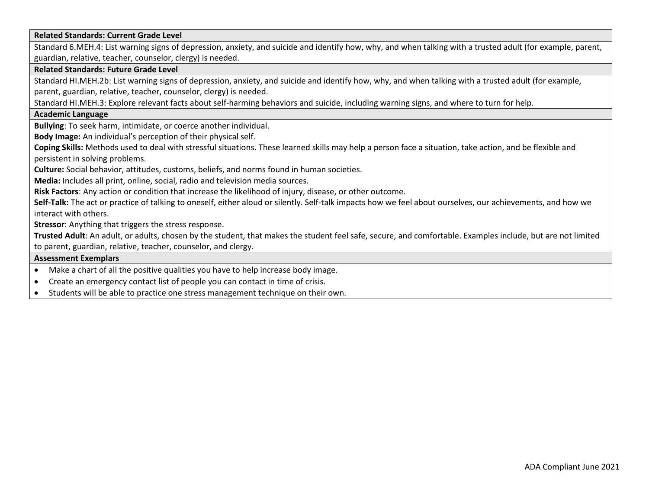#### **Related Standards: Current Grade Level**

Standard 6.MEH.4: List warning signs of depression, anxiety, and suicide and identify how, why, and when talking with a trusted adult (for example, parent, guardian, relative, teacher, counselor, clergy) is needed.

#### **Related Standards: Future Grade Level**

Standard HI.MEH.2b: List warning signs of depression, anxiety, and suicide and identify how, why, and when talking with a trusted adult (for example, parent, guardian, relative, teacher, counselor, clergy) is needed.

Standard HI.MEH.3: Explore relevant facts about self-harming behaviors and suicide, including warning signs, and where to turn for help.

#### **Academic Language**

**Bullying**: To seek harm, intimidate, or coerce another individual.

**Body Image:** An individual's perception of their physical self.

**Coping Skills:** Methods used to deal with stressful situations. These learned skills may help a person face a situation, take action, and be flexible and persistent in solving problems.

**Culture:** Social behavior, attitudes, customs, beliefs, and norms found in human societies.

**Media:** Includes all print, online, social, radio and television media sources.

**Risk Factors**: Any action or condition that increase the likelihood of injury, disease, or other outcome.

**Self-Talk:** The act or practice of talking to oneself, either aloud or silently. Self-talk impacts how we feel about ourselves, our achievements, and how we interact with others.

**Stressor**: Anything that triggers the stress response.

**Trusted Adult**: An adult, or adults, chosen by the student, that makes the student feel safe, secure, and comfortable. Examples include, but are not limited to parent, guardian, relative, teacher, counselor, and clergy.

- Make a chart of all the positive qualities you have to help increase body image.
- Create an emergency contact list of people you can contact in time of crisis.
- Students will be able to practice one stress management technique on their own.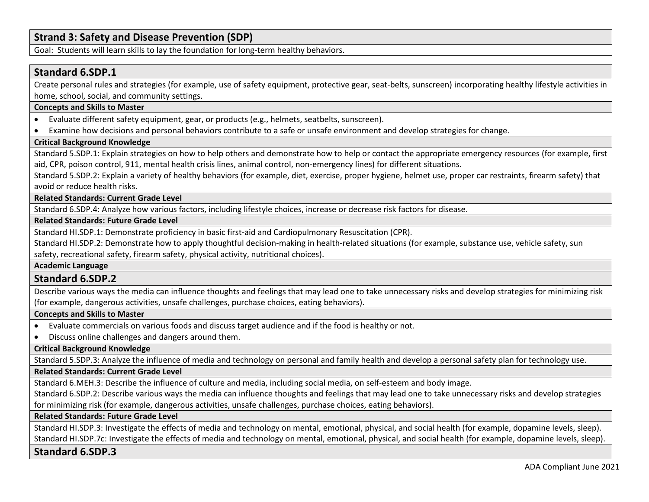# **Strand 3: Safety and Disease Prevention (SDP)**

Goal: Students will learn skills to lay the foundation for long-term healthy behaviors.

# **Standard 6.SDP.1**

Create personal rules and strategies (for example, use of safety equipment, protective gear, seat-belts, sunscreen) incorporating healthy lifestyle activities in home, school, social, and community settings.

#### **Concepts and Skills to Master**

- Evaluate different safety equipment, gear, or products (e.g., helmets, seatbelts, sunscreen).
- Examine how decisions and personal behaviors contribute to a safe or unsafe environment and develop strategies for change.

# **Critical Background Knowledge**

Standard 5.SDP.1: Explain strategies on how to help others and demonstrate how to help or contact the appropriate emergency resources (for example, first aid, CPR, poison control, 911, mental health crisis lines, animal control, non-emergency lines) for different situations.

Standard 5.SDP.2: Explain a variety of healthy behaviors (for example, diet, exercise, proper hygiene, helmet use, proper car restraints, firearm safety) that avoid or reduce health risks.

**Related Standards: Current Grade Level**

Standard 6.SDP.4: Analyze how various factors, including lifestyle choices, increase or decrease risk factors for disease.

#### **Related Standards: Future Grade Level**

Standard HI.SDP.1: Demonstrate proficiency in basic first-aid and Cardiopulmonary Resuscitation (CPR).

Standard HI.SDP.2: Demonstrate how to apply thoughtful decision-making in health-related situations (for example, substance use, vehicle safety, sun safety, recreational safety, firearm safety, physical activity, nutritional choices).

## **Academic Language**

# **Standard 6.SDP.2**

Describe various ways the media can influence thoughts and feelings that may lead one to take unnecessary risks and develop strategies for minimizing risk (for example, dangerous activities, unsafe challenges, purchase choices, eating behaviors).

#### **Concepts and Skills to Master**

- Evaluate commercials on various foods and discuss target audience and if the food is healthy or not.
- Discuss online challenges and dangers around them.

#### **Critical Background Knowledge**

Standard 5.SDP.3: Analyze the influence of media and technology on personal and family health and develop a personal safety plan for technology use.

# **Related Standards: Current Grade Level**

Standard 6.MEH.3: Describe the influence of culture and media, including social media, on self-esteem and body image.

Standard 6.SDP.2: Describe various ways the media can influence thoughts and feelings that may lead one to take unnecessary risks and develop strategies for minimizing risk (for example, dangerous activities, unsafe challenges, purchase choices, eating behaviors).

#### **Related Standards: Future Grade Level**

Standard HI.SDP.3: Investigate the effects of media and technology on mental, emotional, physical, and social health (for example, dopamine levels, sleep). Standard HI.SDP.7c: Investigate the effects of media and technology on mental, emotional, physical, and social health (for example, dopamine levels, sleep).

# **Standard 6.SDP.3**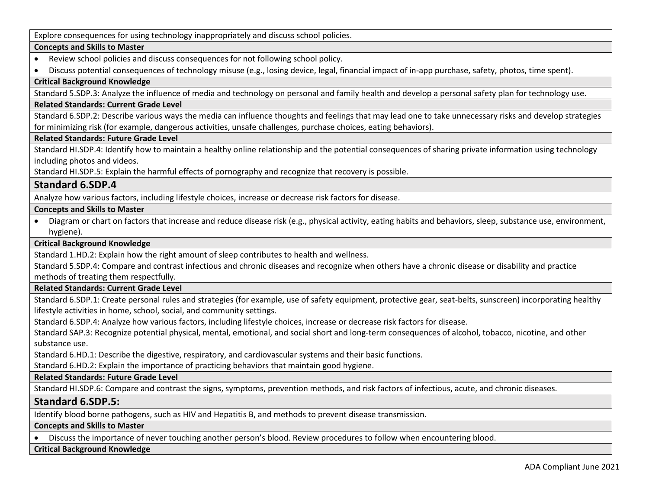Explore consequences for using technology inappropriately and discuss school policies.

# **Concepts and Skills to Master**

- Review school policies and discuss consequences for not following school policy.
- Discuss potential consequences of technology misuse (e.g., losing device, legal, financial impact of in-app purchase, safety, photos, time spent).

# **Critical Background Knowledge**

Standard 5.SDP.3: Analyze the influence of media and technology on personal and family health and develop a personal safety plan for technology use.

### **Related Standards: Current Grade Level**

Standard 6.SDP.2: Describe various ways the media can influence thoughts and feelings that may lead one to take unnecessary risks and develop strategies for minimizing risk (for example, dangerous activities, unsafe challenges, purchase choices, eating behaviors).

## **Related Standards: Future Grade Level**

Standard HI.SDP.4: Identify how to maintain a healthy online relationship and the potential consequences of sharing private information using technology including photos and videos.

Standard HI.SDP.5: Explain the harmful effects of pornography and recognize that recovery is possible.

# **Standard 6.SDP.4**

Analyze how various factors, including lifestyle choices, increase or decrease risk factors for disease.

# **Concepts and Skills to Master**

• Diagram or chart on factors that increase and reduce disease risk (e.g., physical activity, eating habits and behaviors, sleep, substance use, environment, hygiene).

# **Critical Background Knowledge**

Standard 1.HD.2: Explain how the right amount of sleep contributes to health and wellness.

Standard 5.SDP.4: Compare and contrast infectious and chronic diseases and recognize when others have a chronic disease or disability and practice methods of treating them respectfully.

#### **Related Standards: Current Grade Level**

Standard 6.SDP.1: Create personal rules and strategies (for example, use of safety equipment, protective gear, seat-belts, sunscreen) incorporating healthy lifestyle activities in home, school, social, and community settings.

Standard 6.SDP.4: Analyze how various factors, including lifestyle choices, increase or decrease risk factors for disease.

Standard SAP.3: Recognize potential physical, mental, emotional, and social short and long-term consequences of alcohol, tobacco, nicotine, and other substance use.

Standard 6.HD.1: Describe the digestive, respiratory, and cardiovascular systems and their basic functions.

Standard 6.HD.2: Explain the importance of practicing behaviors that maintain good hygiene.

# **Related Standards: Future Grade Level**

Standard HI.SDP.6: Compare and contrast the signs, symptoms, prevention methods, and risk factors of infectious, acute, and chronic diseases.

# **Standard 6.SDP.5:**

Identify blood borne pathogens, such as HIV and Hepatitis B, and methods to prevent disease transmission.

#### **Concepts and Skills to Master**

• Discuss the importance of never touching another person's blood. Review procedures to follow when encountering blood.

# **Critical Background Knowledge**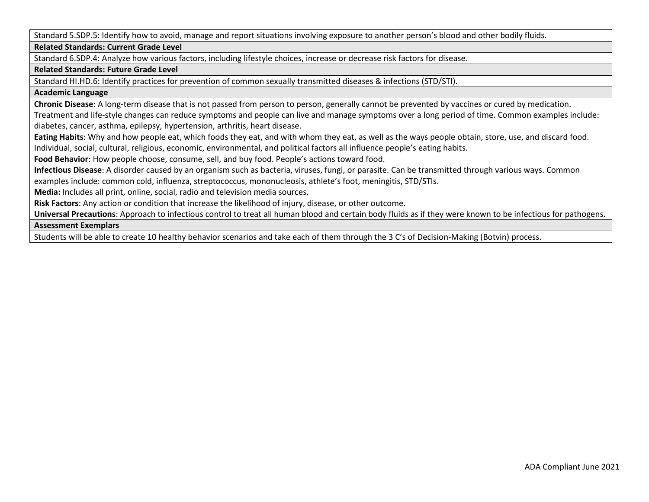Standard 5.SDP.5: Identify how to avoid, manage and report situations involving exposure to another person's blood and other bodily fluids.

**Related Standards: Current Grade Level**

Standard 6.SDP.4: Analyze how various factors, including lifestyle choices, increase or decrease risk factors for disease.

### **Related Standards: Future Grade Level**

Standard HI.HD.6: Identify practices for prevention of common sexually transmitted diseases & infections (STD/STI).

## **Academic Language**

**Chronic Disease**: A long-term disease that is not passed from person to person, generally cannot be prevented by vaccines or cured by medication.

Treatment and life-style changes can reduce symptoms and people can live and manage symptoms over a long period of time. Common examples include: diabetes, cancer, asthma, epilepsy, hypertension, arthritis, heart disease.

**Eating Habits**: Why and how people eat, which foods they eat, and with whom they eat, as well as the ways people obtain, store, use, and discard food. Individual, social, cultural, religious, economic, environmental, and political factors all influence people's eating habits.

**Food Behavior**: How people choose, consume, sell, and buy food. People's actions toward food.

**Infectious Disease**: A disorder caused by an organism such as bacteria, viruses, fungi, or parasite. Can be transmitted through various ways. Common examples include: common cold, influenza, streptococcus, mononucleosis, athlete's foot, meningitis, STD/STIs.

**Media:** Includes all print, online, social, radio and television media sources.

**Risk Factors**: Any action or condition that increase the likelihood of injury, disease, or other outcome.

**Universal Precautions**: Approach to infectious control to treat all human blood and certain body fluids as if they were known to be infectious for pathogens.

#### **Assessment Exemplars**

Students will be able to create 10 healthy behavior scenarios and take each of them through the 3 C's of Decision-Making (Botvin) process.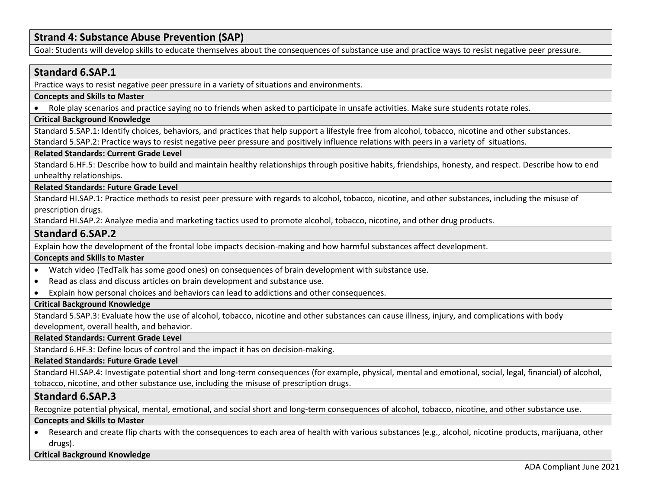# **Strand 4: Substance Abuse Prevention (SAP)**

Goal: Students will develop skills to educate themselves about the consequences of substance use and practice ways to resist negative peer pressure.

# **Standard 6.SAP.1**

Practice ways to resist negative peer pressure in a variety of situations and environments.

# **Concepts and Skills to Master**

• Role play scenarios and practice saying no to friends when asked to participate in unsafe activities. Make sure students rotate roles.

#### **Critical Background Knowledge**

Standard 5.SAP.1: Identify choices, behaviors, and practices that help support a lifestyle free from alcohol, tobacco, nicotine and other substances. Standard 5.SAP.2: Practice ways to resist negative peer pressure and positively influence relations with peers in a variety of situations.

#### **Related Standards: Current Grade Level**

Standard 6.HF.5: Describe how to build and maintain healthy relationships through positive habits, friendships, honesty, and respect. Describe how to end unhealthy relationships.

#### **Related Standards: Future Grade Level**

Standard HI.SAP.1: Practice methods to resist peer pressure with regards to alcohol, tobacco, nicotine, and other substances, including the misuse of prescription drugs.

Standard HI.SAP.2: Analyze media and marketing tactics used to promote alcohol, tobacco, nicotine, and other drug products.

# **Standard 6.SAP.2**

Explain how the development of the frontal lobe impacts decision-making and how harmful substances affect development.

#### **Concepts and Skills to Master**

- Watch video (TedTalk has some good ones) on consequences of brain development with substance use.
- Read as class and discuss articles on brain development and substance use.
- Explain how personal choices and behaviors can lead to addictions and other consequences.

#### **Critical Background Knowledge**

Standard 5.SAP.3: Evaluate how the use of alcohol, tobacco, nicotine and other substances can cause illness, injury, and complications with body development, overall health, and behavior.

**Related Standards: Current Grade Level**

Standard 6.HF.3: Define locus of control and the impact it has on decision-making.

#### **Related Standards: Future Grade Level**

Standard HI.SAP.4: Investigate potential short and long-term consequences (for example, physical, mental and emotional, social, legal, financial) of alcohol, tobacco, nicotine, and other substance use, including the misuse of prescription drugs.

# **Standard 6.SAP.3**

Recognize potential physical, mental, emotional, and social short and long-term consequences of alcohol, tobacco, nicotine, and other substance use.

#### **Concepts and Skills to Master**

• Research and create flip charts with the consequences to each area of health with various substances (e.g., alcohol, nicotine products, marijuana, other drugs).

# **Critical Background Knowledge**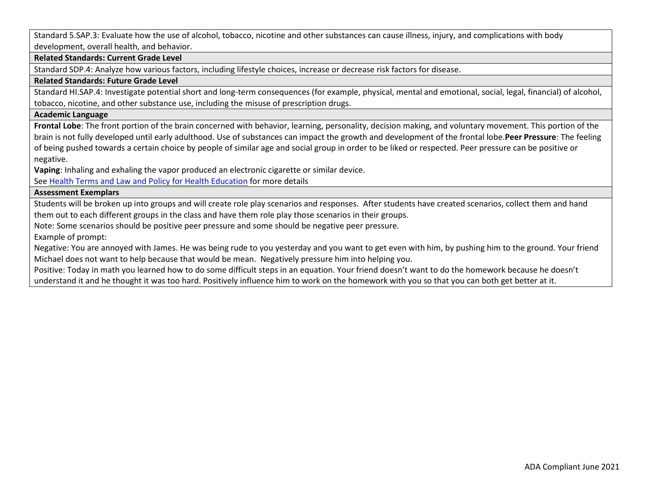Standard 5.SAP.3: Evaluate how the use of alcohol, tobacco, nicotine and other substances can cause illness, injury, and complications with body development, overall health, and behavior.

#### **Related Standards: Current Grade Level**

Standard SDP.4: Analyze how various factors, including lifestyle choices, increase or decrease risk factors for disease.

#### **Related Standards: Future Grade Level**

Standard HI.SAP.4: Investigate potential short and long-term consequences (for example, physical, mental and emotional, social, legal, financial) of alcohol, tobacco, nicotine, and other substance use, including the misuse of prescription drugs.

# **Academic Language**

**Frontal Lobe**: The front portion of the brain concerned with behavior, learning, personality, decision making, and voluntary movement. This portion of the brain is not fully developed until early adulthood. Use of substances can impact the growth and development of the frontal lobe.**Peer Pressure**: The feeling of being pushed towards a certain choice by people of similar age and social group in order to be liked or respected. Peer pressure can be positive or negative.

**Vaping**: Inhaling and exhaling the vapor produced an electronic cigarette or similar device.

See [Health Terms and Law and Policy for Health Education](https://schools.utah.gov/file/79acf6fe-5e26-4f46-9374-116b785e9147) for more details

#### **Assessment Exemplars**

Students will be broken up into groups and will create role play scenarios and responses. After students have created scenarios, collect them and hand them out to each different groups in the class and have them role play those scenarios in their groups.

Note: Some scenarios should be positive peer pressure and some should be negative peer pressure.

Example of prompt:

Negative: You are annoyed with James. He was being rude to you yesterday and you want to get even with him, by pushing him to the ground. Your friend Michael does not want to help because that would be mean. Negatively pressure him into helping you.

Positive: Today in math you learned how to do some difficult steps in an equation. Your friend doesn't want to do the homework because he doesn't understand it and he thought it was too hard. Positively influence him to work on the homework with you so that you can both get better at it.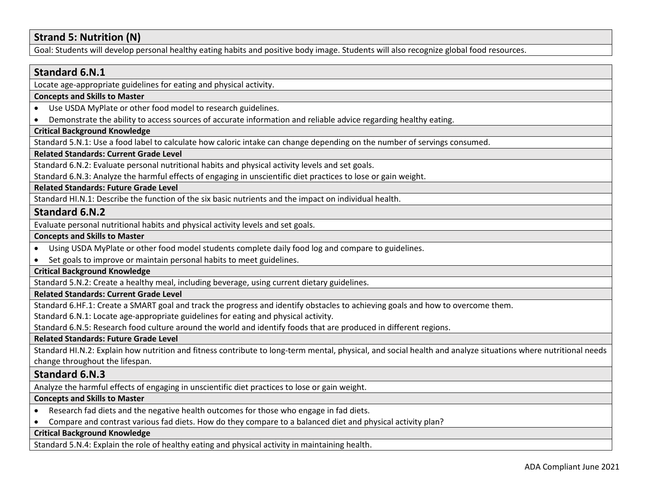# **Strand 5: Nutrition (N)**

Goal: Students will develop personal healthy eating habits and positive body image. Students will also recognize global food resources.

# **Standard 6.N.1** Locate age-appropriate guidelines for eating and physical activity. **Concepts and Skills to Master**  • Use USDA MyPlate or other food model to research guidelines. • Demonstrate the ability to access sources of accurate information and reliable advice regarding healthy eating. **Critical Background Knowledge** Standard 5.N.1: Use a food label to calculate how caloric intake can change depending on the number of servings consumed. **Related Standards: Current Grade Level** Standard 6.N.2: Evaluate personal nutritional habits and physical activity levels and set goals. Standard 6.N.3: Analyze the harmful effects of engaging in unscientific diet practices to lose or gain weight. **Related Standards: Future Grade Level**  Standard HI.N.1: Describe the function of the six basic nutrients and the impact on individual health. **Standard 6.N.2** Evaluate personal nutritional habits and physical activity levels and set goals. **Concepts and Skills to Master**  • Using USDA MyPlate or other food model students complete daily food log and compare to guidelines. • Set goals to improve or maintain personal habits to meet guidelines. **Critical Background Knowledge** Standard 5.N.2: Create a healthy meal, including beverage, using current dietary guidelines. **Related Standards: Current Grade Level** Standard 6.HF.1: Create a SMART goal and track the progress and identify obstacles to achieving goals and how to overcome them. Standard 6.N.1: Locate age-appropriate guidelines for eating and physical activity. Standard 6.N.5: Research food culture around the world and identify foods that are produced in different regions. **Related Standards: Future Grade Level**  Standard HI.N.2: Explain how nutrition and fitness contribute to long-term mental, physical, and social health and analyze situations where nutritional needs change throughout the lifespan. **Standard 6.N.3** Analyze the harmful effects of engaging in unscientific diet practices to lose or gain weight. **Concepts and Skills to Master**  • Research fad diets and the negative health outcomes for those who engage in fad diets. • Compare and contrast various fad diets. How do they compare to a balanced diet and physical activity plan? **Critical Background Knowledge**

Standard 5.N.4: Explain the role of healthy eating and physical activity in maintaining health.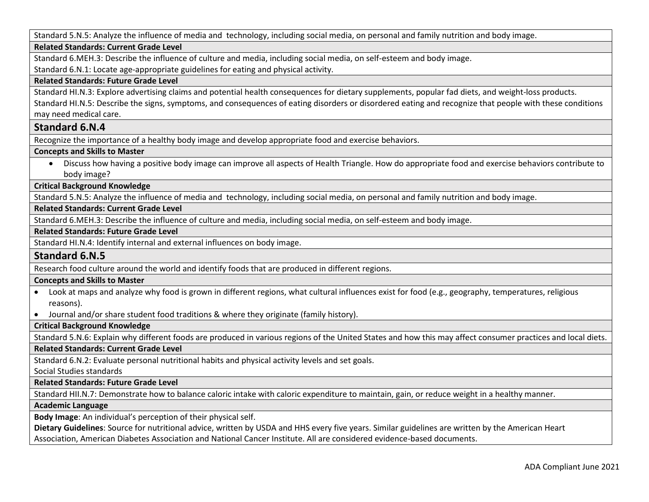Standard 5.N.5: Analyze the influence of media and technology, including social media, on personal and family nutrition and body image.

# **Related Standards: Current Grade Level**

Standard 6.MEH.3: Describe the influence of culture and media, including social media, on self-esteem and body image.

Standard 6.N.1: Locate age-appropriate guidelines for eating and physical activity.

#### **Related Standards: Future Grade Level**

Standard HI.N.3: Explore advertising claims and potential health consequences for dietary supplements, popular fad diets, and weight-loss products. Standard HI.N.5: Describe the signs, symptoms, and consequences of eating disorders or disordered eating and recognize that people with these conditions may need medical care.

# **Standard 6.N.4**

Recognize the importance of a healthy body image and develop appropriate food and exercise behaviors.

## **Concepts and Skills to Master**

• Discuss how having a positive body image can improve all aspects of Health Triangle. How do appropriate food and exercise behaviors contribute to body image?

# **Critical Background Knowledge**

Standard 5.N.5: Analyze the influence of media and technology, including social media, on personal and family nutrition and body image.

# **Related Standards: Current Grade Level**

Standard 6.MEH.3: Describe the influence of culture and media, including social media, on self-esteem and body image.

# **Related Standards: Future Grade Level**

Standard HI.N.4: Identify internal and external influences on body image.

# **Standard 6.N.5**

Research food culture around the world and identify foods that are produced in different regions.

#### **Concepts and Skills to Master**

- Look at maps and analyze why food is grown in different regions, what cultural influences exist for food (e.g., geography, temperatures, religious reasons).
- Journal and/or share student food traditions & where they originate (family history).

# **Critical Background Knowledge**

Standard 5.N.6: Explain why different foods are produced in various regions of the United States and how this may affect consumer practices and local diets.

#### **Related Standards: Current Grade Level**

Standard 6.N.2: Evaluate personal nutritional habits and physical activity levels and set goals.

Social Studies standards

# **Related Standards: Future Grade Level**

Standard HII.N.7: Demonstrate how to balance caloric intake with caloric expenditure to maintain, gain, or reduce weight in a healthy manner.

# **Academic Language**

**Body Image**: An individual's perception of their physical self.

**Dietary Guidelines**: Source for nutritional advice, written by USDA and HHS every five years. Similar guidelines are written by the American Heart Association, American Diabetes Association and National Cancer Institute. All are considered evidence-based documents.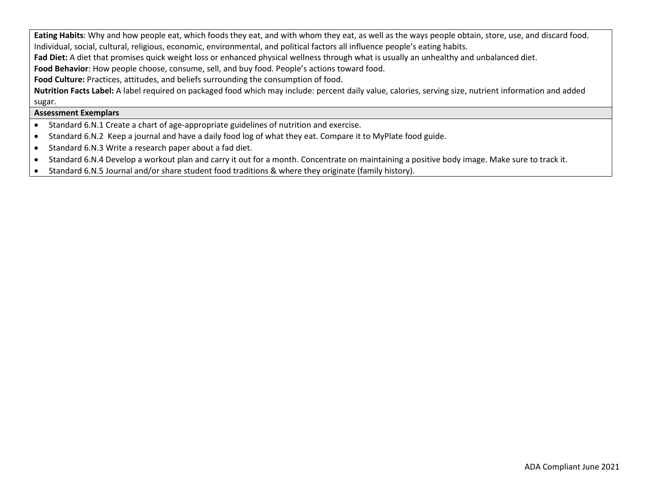**Eating Habits**: Why and how people eat, which foods they eat, and with whom they eat, as well as the ways people obtain, store, use, and discard food. Individual, social, cultural, religious, economic, environmental, and political factors all influence people's eating habits.

**Fad Diet:** A diet that promises quick weight loss or enhanced physical wellness through what is usually an unhealthy and unbalanced diet.

**Food Behavior**: How people choose, consume, sell, and buy food. People's actions toward food.

**Food Culture:** Practices, attitudes, and beliefs surrounding the consumption of food.

**Nutrition Facts Label:** A label required on packaged food which may include: percent daily value, calories, serving size, nutrient information and added sugar.

- Standard 6.N.1 Create a chart of age-appropriate guidelines of nutrition and exercise.
- Standard 6.N.2 Keep a journal and have a daily food log of what they eat. Compare it to MyPlate food guide.
- Standard 6.N.3 Write a research paper about a fad diet.
- Standard 6.N.4 Develop a workout plan and carry it out for a month. Concentrate on maintaining a positive body image. Make sure to track it.
- Standard 6.N.5 Journal and/or share student food traditions & where they originate (family history).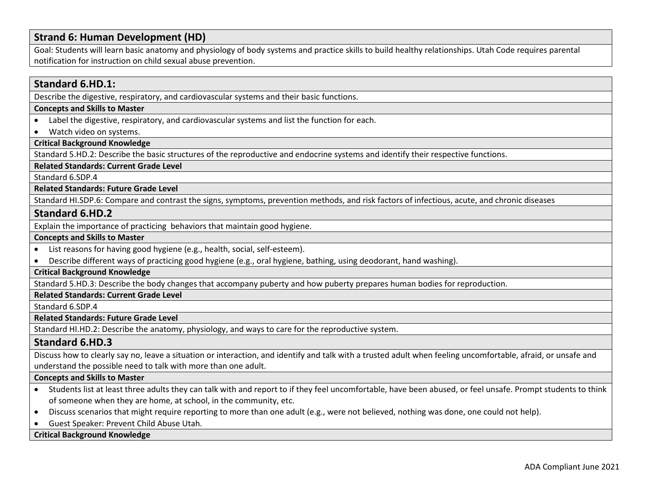# **Strand 6: Human Development (HD)**

Goal: Students will learn basic anatomy and physiology of body systems and practice skills to build healthy relationships. Utah Code requires parental notification for instruction on child sexual abuse prevention.

# **Standard 6.HD.1:**

Describe the digestive, respiratory, and cardiovascular systems and their basic functions.

#### **Concepts and Skills to Master**

- Label the digestive, respiratory, and cardiovascular systems and list the function for each.
- Watch video on systems.

# **Critical Background Knowledge**

Standard 5.HD.2: Describe the basic structures of the reproductive and endocrine systems and identify their respective functions.

#### **Related Standards: Current Grade Level**

Standard 6.SDP.4

#### **Related Standards: Future Grade Level**

Standard HI.SDP.6: Compare and contrast the signs, symptoms, prevention methods, and risk factors of infectious, acute, and chronic diseases

# **Standard 6.HD.2**

Explain the importance of practicing behaviors that maintain good hygiene.

#### **Concepts and Skills to Master**

- List reasons for having good hygiene (e.g., health, social, self-esteem).
- Describe different ways of practicing good hygiene (e.g., oral hygiene, bathing, using deodorant, hand washing).

## **Critical Background Knowledge**

Standard 5.HD.3: Describe the body changes that accompany puberty and how puberty prepares human bodies for reproduction.

#### **Related Standards: Current Grade Level**

Standard 6.SDP.4

#### **Related Standards: Future Grade Level**

Standard HI.HD.2: Describe the anatomy, physiology, and ways to care for the reproductive system.

# **Standard 6.HD.3**

Discuss how to clearly say no, leave a situation or interaction, and identify and talk with a trusted adult when feeling uncomfortable, afraid, or unsafe and understand the possible need to talk with more than one adult.

#### **Concepts and Skills to Master**

- Students list at least three adults they can talk with and report to if they feel uncomfortable, have been abused, or feel unsafe. Prompt students to think of someone when they are home, at school, in the community, etc.
- Discuss scenarios that might require reporting to more than one adult (e.g., were not believed, nothing was done, one could not help).
- Guest Speaker: Prevent Child Abuse Utah.

#### **Critical Background Knowledge**